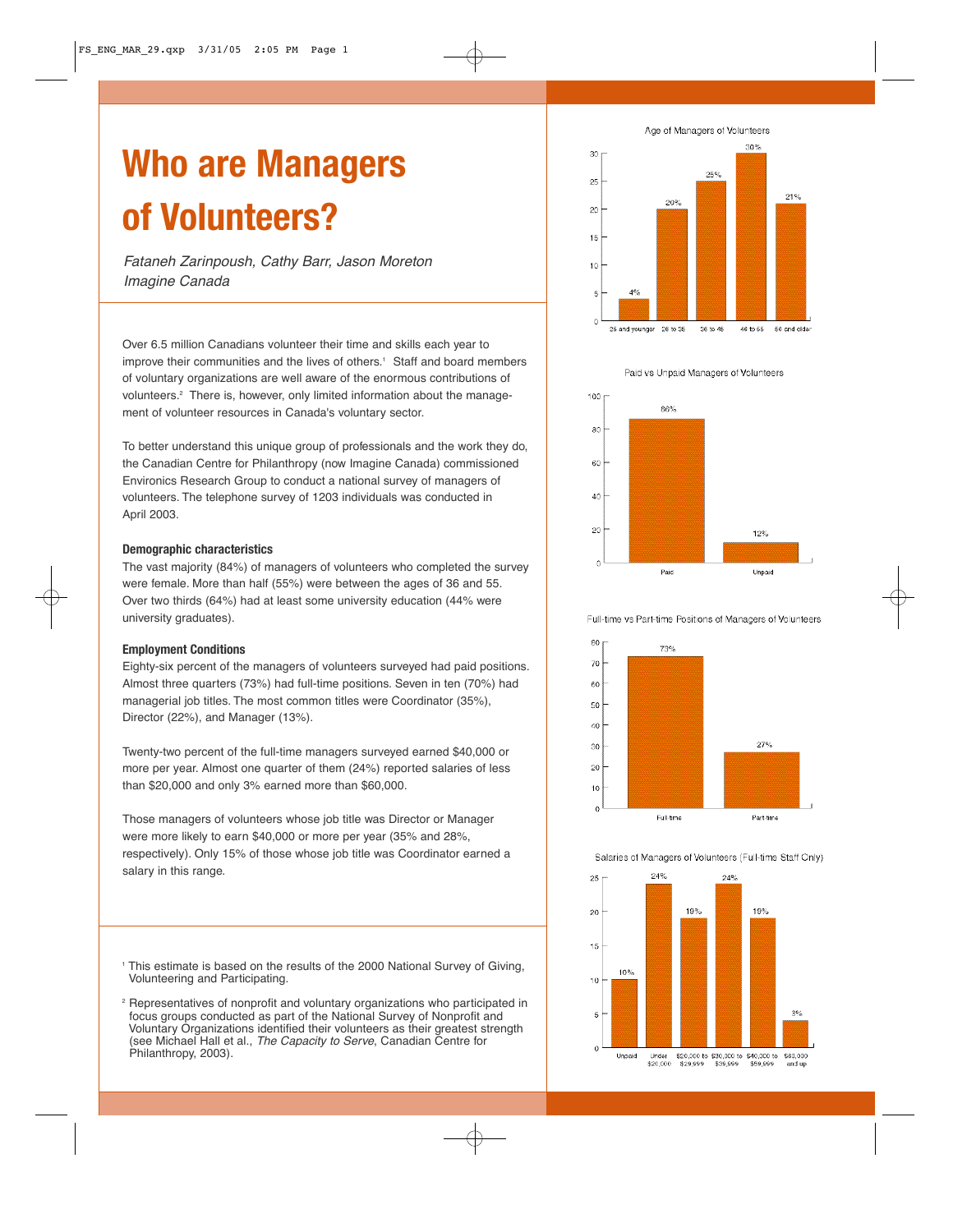# **Who are Managers of Volunteers?**

Fataneh Zarinpoush, Cathy Barr, Jason Moreton Imagine Canada

Over 6.5 million Canadians volunteer their time and skills each year to improve their communities and the lives of others. <sup>1</sup> Staff and board members of voluntary organizations are well aware of the enormous contributions of volunteers. <sup>2</sup> There is, however, only limited information about the management of volunteer resources in Canada's voluntary sector.

To better understand this unique group of professionals and the work they do, the Canadian Centre for Philanthropy (now Imagine Canada) commissioned Environics Research Group to conduct a national survey of managers of volunteers. The telephone survey of 1203 individuals was conducted in April 2003.

#### **Demographic characteristics**

The vast majority (84%) of managers of volunteers who completed the survey were female. More than half (55%) were between the ages of 36 and 55. Over two thirds (64%) had at least some university education (44% were university graduates).

## **Employment Conditions**

Eighty-six percent of the managers of volunteers surveyed had paid positions. Almost three quarters (73%) had full-time positions. Seven in ten (70%) had managerial job titles. The most common titles were Coordinator (35%), Director (22%), and Manager (13%).

Twenty-two percent of the full-time managers surveyed earned \$40,000 or more per year. Almost one quarter of them (24%) reported salaries of less than \$20,000 and only 3% earned more than \$60,000.

Those managers of volunteers whose job title was Director or Manager were more likely to earn \$40,000 or more per year (35% and 28%, respectively). Only 15% of those whose job title was Coordinator earned a salary in this range.

- <sup>1</sup> This estimate is based on the results of the 2000 National Survey of Giving, Volunteering and Participating.
- <sup>2</sup> Representatives of nonprofit and voluntary organizations who participated in focus groups conducted as part of the National Survey of Nonprofit and Voluntary Organizations identified their volunteers as their greatest strength (see Michael Hall et al., The Capacity to Serve, Canadian Centre for Philanthropy, 2003).

Age of Managers of Volunteers



Paid vs Unpaid Managers of Volunteers



Full-time vs Part-time Positions of Managers of Volunteers



Salaries of Managers of Volunteers (Full-time Staff Only)